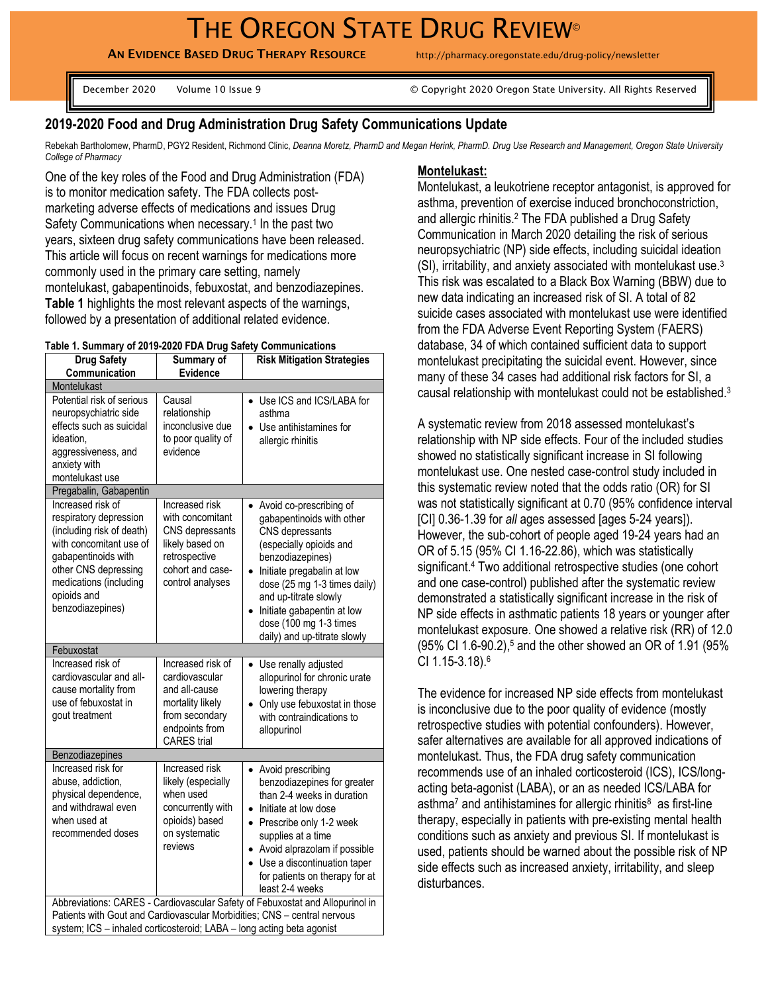# THE OREGON STATE DRUG REVIEW<sup>®</sup>

AN EVIDENCE BASED DRUG THERAPY RESOURCE http://pharmacy.oregonstate.edu/drug-policy/newsletter

December 2020 Volume 10 Issue 9 © Copyright 2020 Oregon State University. All Rights Reserved

# **2019-2020 Food and Drug Administration Drug Safety Communications Update**

Rebekah Bartholomew, PharmD, PGY2 Resident, Richmond Clinic, *Deanna Moretz, PharmD and Megan Herink, PharmD. Drug Use Research and Management, Oregon State University College of Pharmacy*

One of the key roles of the Food and Drug Administration (FDA) is to monitor medication safety. The FDA collects postmarketing adverse effects of medications and issues Drug Safety Communications when necessary. 1 In the past two years, sixteen drug safety communications have been released. This article will focus on recent warnings for medications more commonly used in the primary care setting, namely montelukast, gabapentinoids, febuxostat, and benzodiazepines. **Table 1** highlights the most relevant aspects of the warnings, followed by a presentation of additional related evidence.

### **Table 1. Summary of 2019-2020 FDA Drug Safety Communications**

| <b>Drug Safety</b>                                                                                                                                                                                              | able it canningly or zono-zozon DA Drug Calcty Communications<br>Summary of                                                       | <b>Risk Mitigation Strategies</b>                                                                                                                                                                                                                                                                                                                                               |  |  |  |
|-----------------------------------------------------------------------------------------------------------------------------------------------------------------------------------------------------------------|-----------------------------------------------------------------------------------------------------------------------------------|---------------------------------------------------------------------------------------------------------------------------------------------------------------------------------------------------------------------------------------------------------------------------------------------------------------------------------------------------------------------------------|--|--|--|
| Communication                                                                                                                                                                                                   | Evidence                                                                                                                          |                                                                                                                                                                                                                                                                                                                                                                                 |  |  |  |
| Montelukast                                                                                                                                                                                                     |                                                                                                                                   |                                                                                                                                                                                                                                                                                                                                                                                 |  |  |  |
| Potential risk of serious<br>neuropsychiatric side<br>effects such as suicidal<br>ideation.<br>aggressiveness, and<br>anxiety with<br>montelukast use                                                           | Causal<br>relationship<br>inconclusive due<br>to poor quality of<br>evidence                                                      | Use ICS and ICS/LABA for<br>asthma<br>Use antihistamines for<br>allergic rhinitis                                                                                                                                                                                                                                                                                               |  |  |  |
| Pregabalin, Gabapentin                                                                                                                                                                                          |                                                                                                                                   |                                                                                                                                                                                                                                                                                                                                                                                 |  |  |  |
| Increased risk of<br>respiratory depression<br>(including risk of death)<br>with concomitant use of<br>gabapentinoids with<br>other CNS depressing<br>medications (including<br>opioids and<br>benzodiazepines) | Increased risk<br>with concomitant<br>CNS depressants<br>likely based on<br>retrospective<br>cohort and case-<br>control analyses | Avoid co-prescribing of<br>gabapentinoids with other<br>CNS depressants<br>(especially opioids and<br>benzodiazepines)<br>Initiate pregabalin at low<br>$\bullet$<br>dose (25 mg 1-3 times daily)<br>and up-titrate slowly<br>Initiate gabapentin at low<br>dose (100 mg 1-3 times<br>daily) and up-titrate slowly                                                              |  |  |  |
| Febuxostat                                                                                                                                                                                                      |                                                                                                                                   |                                                                                                                                                                                                                                                                                                                                                                                 |  |  |  |
| Increased risk of<br>cardiovascular and all-<br>cause mortality from<br>use of febuxostat in<br>gout treatment                                                                                                  | Increased risk of<br>cardiovascular<br>and all-cause<br>mortality likely                                                          | Use renally adjusted<br>$\bullet$<br>allopurinol for chronic urate<br>lowering therapy<br>Only use febuxostat in those<br>with contraindications to                                                                                                                                                                                                                             |  |  |  |
|                                                                                                                                                                                                                 | from secondary<br>endpoints from<br><b>CARES</b> trial                                                                            | allopurinol                                                                                                                                                                                                                                                                                                                                                                     |  |  |  |
| Benzodiazepines                                                                                                                                                                                                 |                                                                                                                                   |                                                                                                                                                                                                                                                                                                                                                                                 |  |  |  |
| Increased risk for<br>abuse, addiction,<br>physical dependence,<br>and withdrawal even<br>when used at<br>recommended doses                                                                                     | Increased risk<br>likely (especially<br>when used<br>concurrently with<br>opioids) based<br>on systematic<br>reviews              | • Avoid prescribing<br>benzodiazepines for greater<br>than 2-4 weeks in duration<br>• Initiate at low dose<br>• Prescribe only 1-2 week<br>supplies at a time<br>Avoid alprazolam if possible<br>Use a discontinuation taper<br>$\bullet$<br>for patients on therapy for at<br>least 2-4 weeks<br>Abbreviations: CARES - Cardiovascular Safety of Febuxostat and Allopurinol in |  |  |  |

#### **Montelukast:**

Montelukast, a leukotriene receptor antagonist, is approved for asthma, prevention of exercise induced bronchoconstriction, and allergic rhinitis.<sup>2</sup> The FDA published a Drug Safety Communication in March 2020 detailing the risk of serious neuropsychiatric (NP) side effects, including suicidal ideation (SI), irritability, and anxiety associated with montelukast use. 3 This risk was escalated to a Black Box Warning (BBW) due to new data indicating an increased risk of SI. A total of 82 suicide cases associated with montelukast use were identified from the FDA Adverse Event Reporting System (FAERS) database, 34 of which contained sufficient data to support montelukast precipitating the suicidal event. However, since many of these 34 cases had additional risk factors for SI, a causal relationship with montelukast could not be established.<sup>3</sup>

A systematic review from 2018 assessed montelukast's relationship with NP side effects. Four of the included studies showed no statistically significant increase in SI following montelukast use. One nested case-control study included in this systematic review noted that the odds ratio (OR) for SI was not statistically significant at 0.70 (95% confidence interval [CI] 0.36-1.39 for *all* ages assessed [ages 5-24 years]). However, the sub-cohort of people aged 19-24 years had an OR of 5.15 (95% CI 1.16-22.86), which was statistically significant.<sup>4</sup> Two additional retrospective studies (one cohort and one case-control) published after the systematic review demonstrated a statistically significant increase in the risk of NP side effects in asthmatic patients 18 years or younger after montelukast exposure. One showed a relative risk (RR) of 12.0 (95% CI 1.6-90.2), <sup>5</sup> and the other showed an OR of 1.91 (95% CI 1.15-3.18). 6

The evidence for increased NP side effects from montelukast is inconclusive due to the poor quality of evidence (mostly retrospective studies with potential confounders). However, safer alternatives are available for all approved indications of montelukast. Thus, the FDA drug safety communication recommends use of an inhaled corticosteroid (ICS), ICS/longacting beta-agonist (LABA), or an as needed ICS/LABA for asthma<sup>7</sup> and antihistamines for allergic rhinitis<sup>8</sup> as first-line therapy, especially in patients with pre-existing mental health conditions such as anxiety and previous SI. If montelukast is used, patients should be warned about the possible risk of NP side effects such as increased anxiety, irritability, and sleep disturbances.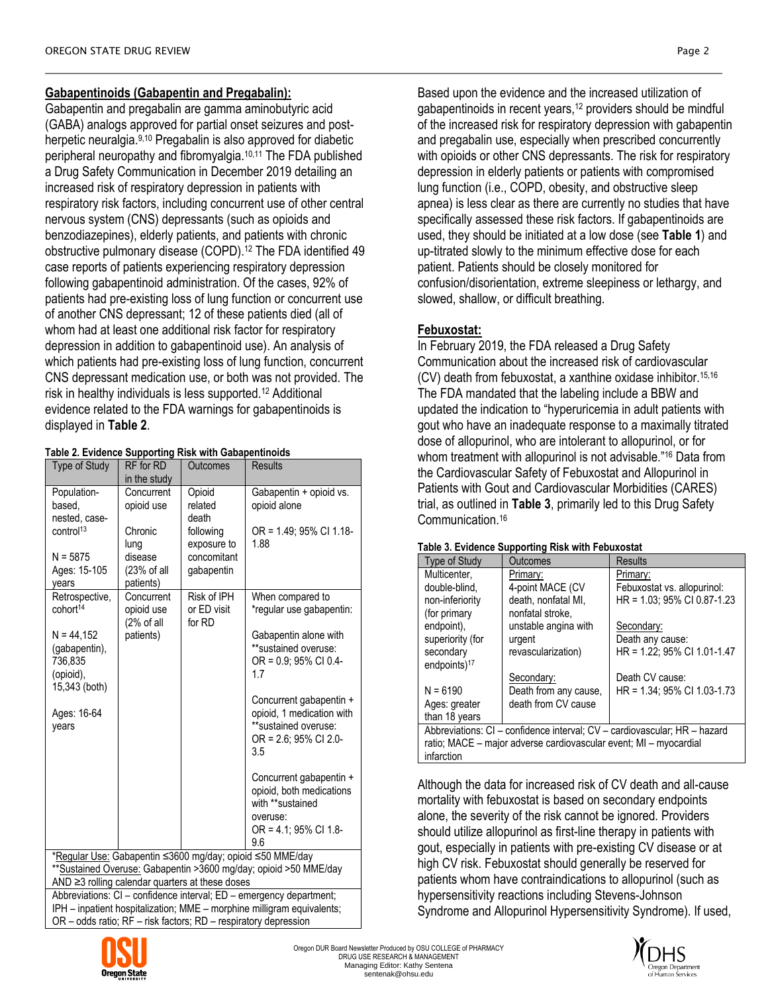# **Gabapentinoids (Gabapentin and Pregabalin):**

Gabapentin and pregabalin are gamma aminobutyric acid (GABA) analogs approved for partial onset seizures and postherpetic neuralgia.9,10 Pregabalin is also approved for diabetic peripheral neuropathy and fibromyalgia. 10,11 The FDA published a Drug Safety Communication in December 2019 detailing an increased risk of respiratory depression in patients with respiratory risk factors, including concurrent use of other central nervous system (CNS) depressants (such as opioids and benzodiazepines), elderly patients, and patients with chronic obstructive pulmonary disease (COPD).<sup>12</sup> The FDA identified 49 case reports of patients experiencing respiratory depression following gabapentinoid administration. Of the cases, 92% of patients had pre-existing loss of lung function or concurrent use of another CNS depressant; 12 of these patients died (all of whom had at least one additional risk factor for respiratory depression in addition to gabapentinoid use). An analysis of which patients had pre-existing loss of lung function, concurrent CNS depressant medication use, or both was not provided. The risk in healthy individuals is less supported.<sup>12</sup> Additional evidence related to the FDA warnings for gabapentinoids is displayed in **Table 2**.

## **Table 2. Evidence Supporting Risk with Gabapentinoids**

| Type of Study                                                                                                          | RF for RD                                                       | Outcomes    | <b>Results</b>                                    |  |  |
|------------------------------------------------------------------------------------------------------------------------|-----------------------------------------------------------------|-------------|---------------------------------------------------|--|--|
|                                                                                                                        | in the study                                                    |             |                                                   |  |  |
| Population-                                                                                                            | Concurrent                                                      | Opioid      | Gabapentin + opioid vs.                           |  |  |
| based.                                                                                                                 | opioid use                                                      | related     | opioid alone                                      |  |  |
| nested, case-                                                                                                          |                                                                 | death       |                                                   |  |  |
| control <sup>13</sup>                                                                                                  | Chronic                                                         | following   | OR = 1.49; 95% CI 1.18-                           |  |  |
|                                                                                                                        | lung                                                            | exposure to | 1.88                                              |  |  |
| $N = 5875$                                                                                                             | disease                                                         | concomitant |                                                   |  |  |
| Ages: 15-105                                                                                                           | (23% of all                                                     | gabapentin  |                                                   |  |  |
| vears                                                                                                                  | patients)<br>Concurrent                                         | Risk of IPH |                                                   |  |  |
| Retrospective,<br>cohort <sup>14</sup>                                                                                 | opioid use                                                      | or ED visit | When compared to<br>*regular use gabapentin:      |  |  |
|                                                                                                                        | (2% of all                                                      | for RD      |                                                   |  |  |
| $N = 44,152$                                                                                                           | patients)                                                       |             | Gabapentin alone with                             |  |  |
| (gabapentin),                                                                                                          |                                                                 |             | **sustained overuse:                              |  |  |
| 736,835                                                                                                                |                                                                 |             | $OR = 0.9$ ; 95% CI 0.4-                          |  |  |
| (opioid),                                                                                                              |                                                                 |             | 1.7                                               |  |  |
| 15,343 (both)                                                                                                          |                                                                 |             |                                                   |  |  |
|                                                                                                                        |                                                                 |             | Concurrent gabapentin +                           |  |  |
| Ages: 16-64<br>years                                                                                                   |                                                                 |             | opioid, 1 medication with<br>**sustained overuse: |  |  |
|                                                                                                                        |                                                                 |             | $OR = 2.6$ ; 95% CI 2.0-                          |  |  |
|                                                                                                                        |                                                                 |             | 3.5                                               |  |  |
|                                                                                                                        |                                                                 |             |                                                   |  |  |
|                                                                                                                        |                                                                 |             | Concurrent gabapentin +                           |  |  |
|                                                                                                                        |                                                                 |             | opioid, both medications                          |  |  |
|                                                                                                                        |                                                                 |             | with **sustained                                  |  |  |
|                                                                                                                        |                                                                 |             | overuse:                                          |  |  |
|                                                                                                                        |                                                                 |             | OR = 4.1; 95% CI 1.8-                             |  |  |
|                                                                                                                        |                                                                 |             | 9.6                                               |  |  |
|                                                                                                                        | *Regular Use: Gabapentin ≤3600 mg/day; opioid ≤50 MME/day       |             |                                                   |  |  |
| ** Sustained Overuse: Gabapentin > 3600 mg/day; opioid > 50 MME/day                                                    |                                                                 |             |                                                   |  |  |
| AND ≥3 rolling calendar quarters at these doses<br>Abbreviations: CI - confidence interval; ED - emergency department; |                                                                 |             |                                                   |  |  |
| IPH - inpatient hospitalization; MME - morphine milligram equivalents;                                                 |                                                                 |             |                                                   |  |  |
|                                                                                                                        | OR - odds ratio; RF - risk factors; RD - respiratory depression |             |                                                   |  |  |

Based upon the evidence and the increased utilization of gabapentinoids in recent years,<sup>12</sup> providers should be mindful of the increased risk for respiratory depression with gabapentin and pregabalin use, especially when prescribed concurrently with opioids or other CNS depressants. The risk for respiratory depression in elderly patients or patients with compromised lung function (i.e., COPD, obesity, and obstructive sleep apnea) is less clear as there are currently no studies that have specifically assessed these risk factors. If gabapentinoids are used, they should be initiated at a low dose (see **Table 1**) and up-titrated slowly to the minimum effective dose for each patient. Patients should be closely monitored for confusion/disorientation, extreme sleepiness or lethargy, and slowed, shallow, or difficult breathing.

# **Febuxostat:**

In February 2019, the FDA released a Drug Safety Communication about the increased risk of cardiovascular (CV) death from febuxostat, a xanthine oxidase inhibitor.15,16 The FDA mandated that the labeling include a BBW and updated the indication to "hyperuricemia in adult patients with gout who have an inadequate response to a maximally titrated dose of allopurinol, who are intolerant to allopurinol, or for whom treatment with allopurinol is not advisable."<sup>16</sup> Data from the Cardiovascular Safety of Febuxostat and Allopurinol in Patients with Gout and Cardiovascular Morbidities (CARES) trial, as outlined in **Table 3**, primarily led to this Drug Safety Communication. 16

#### **Table 3. Evidence Supporting Risk with Febuxostat**

| <b>Type of Study</b>                                                      | Outcomes              | <b>Results</b>              |  |  |
|---------------------------------------------------------------------------|-----------------------|-----------------------------|--|--|
| Multicenter.                                                              | Primary:              | Primary:                    |  |  |
| double-blind,                                                             | 4-point MACE (CV      | Febuxostat vs. allopurinol: |  |  |
| non-inferiority                                                           | death. nonfatal MI.   | HR = 1.03; 95% CI 0.87-1.23 |  |  |
| (for primary                                                              | nonfatal stroke.      |                             |  |  |
| endpoint).                                                                | unstable angina with  | Secondary:                  |  |  |
| superiority (for                                                          | urgent                | Death any cause:            |  |  |
| secondary                                                                 | revascularization)    | HR = 1.22; 95% CI 1.01-1.47 |  |  |
| endpoints $)^{17}$                                                        |                       |                             |  |  |
|                                                                           | Secondary:            | Death CV cause:             |  |  |
| $N = 6190$                                                                | Death from any cause, | HR = 1.34; 95% CI 1.03-1.73 |  |  |
| Ages: greater                                                             | death from CV cause   |                             |  |  |
| than 18 years                                                             |                       |                             |  |  |
| Abbreviations: CI – confidence interval; CV – cardiovascular; HR – hazard |                       |                             |  |  |
| ratio; MACE – major adverse cardiovascular event; MI – myocardial         |                       |                             |  |  |
| infarction                                                                |                       |                             |  |  |

Although the data for increased risk of CV death and all-cause mortality with febuxostat is based on secondary endpoints alone, the severity of the risk cannot be ignored. Providers should utilize allopurinol as first-line therapy in patients with gout, especially in patients with pre-existing CV disease or at high CV risk. Febuxostat should generally be reserved for patients whom have contraindications to allopurinol (such as hypersensitivity reactions including Stevens-Johnson Syndrome and Allopurinol Hypersensitivity Syndrome). If used,



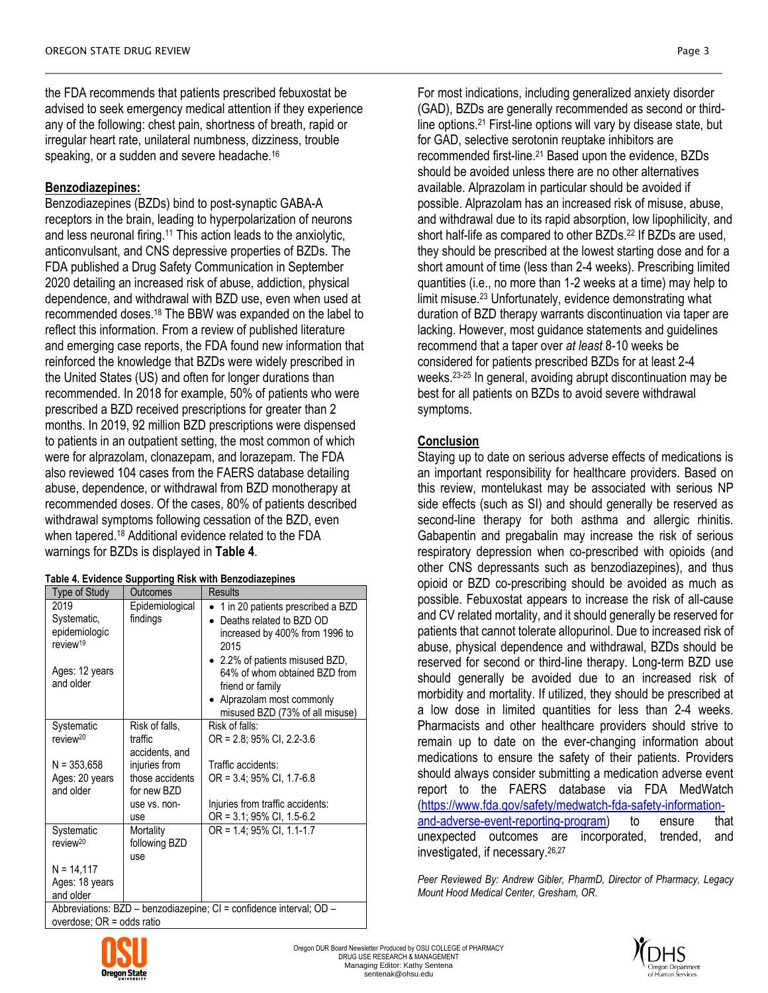the FDA recommends that patients prescribed febuxostat be advised to seek emergency medical attention if they experience any of the following: chest pain, shortness of breath, rapid or irregular heart rate, unilateral numbness, dizziness, trouble speaking, or a sudden and severe headache.<sup>16</sup>

### **Benzodiazepines:**

Benzodiazepines (BZDs) bind to post-synaptic GABA-A receptors in the brain, leading to hyperpolarization of neurons and less neuronal firing.<sup>11</sup> This action leads to the anxiolytic, anticonvulsant, and CNS depressive properties of BZDs. The FDA published a Drug Safety Communication in September 2020 detailing an increased risk of abuse, addiction, physical dependence, and withdrawal with BZD use, even when used at recommended doses. <sup>18</sup> The BBW was expanded on the label to reflect this information. From a review of published literature and emerging case reports, the FDA found new information that reinforced the knowledge that BZDs were widely prescribed in the United States (US) and often for longer durations than recommended. In 2018 for example, 50% of patients who were prescribed a BZD received prescriptions for greater than 2 months. In 2019, 92 million BZD prescriptions were dispensed to patients in an outpatient setting, the most common of which were for alprazolam, clonazepam, and lorazepam. The FDA also reviewed 104 cases from the FAERS database detailing abuse, dependence, or withdrawal from BZD monotherapy at recommended doses. Of the cases, 80% of patients described withdrawal symptoms following cessation of the BZD, even when tapered. <sup>18</sup> Additional evidence related to the FDA warnings for BZDs is displayed in **Table 4**.

| <b>Type of Study</b>                                                           | <b>Outcomes</b>                                 | <b>Results</b>                                                                                                                                                              |
|--------------------------------------------------------------------------------|-------------------------------------------------|-----------------------------------------------------------------------------------------------------------------------------------------------------------------------------|
| 2019<br>Systematic,<br>epidemiologic<br>review <sup>19</sup><br>Ages: 12 years | Epidemiological<br>findings                     | 1 in 20 patients prescribed a BZD<br>Deaths related to BZD OD<br>increased by 400% from 1996 to<br>2015<br>• 2.2% of patients misused BZD,<br>64% of whom obtained BZD from |
| and older                                                                      |                                                 | friend or family<br>Alprazolam most commonly<br>$\bullet$<br>misused BZD (73% of all misuse)                                                                                |
| Systematic<br>review <sup>20</sup>                                             | Risk of falls,<br>traffic<br>accidents, and     | Risk of falls:<br>$OR = 2.8$ ; 95% CI, 2.2-3.6                                                                                                                              |
| $N = 353,658$<br>Ages: 20 years<br>and older                                   | injuries from<br>those accidents<br>for new BZD | Traffic accidents:<br>$OR = 3.4$ ; 95% CI, 1.7-6.8                                                                                                                          |
|                                                                                | use vs. non-<br>use                             | Injuries from traffic accidents:<br>OR = 3.1; 95% CI, 1.5-6.2                                                                                                               |
| Systematic<br>review <sup>20</sup>                                             | Mortality<br>following BZD<br>use               | OR = 1.4; 95% CI, 1.1-1.7                                                                                                                                                   |
| $N = 14,117$<br>Ages: 18 years<br>and older<br>Abbrovictions: D7D              |                                                 | $h$ onzodiozonino: $Cl =$ oonfidonoo intonvol: $OR$                                                                                                                         |

Abbreviations:  $BZD - b$ enzodiazepine;  $CI =$ confidence interval;  $OU$ overdose; OR = odds ratio

For most indications, including generalized anxiety disorder (GAD), BZDs are generally recommended as second or thirdline options.<sup>21</sup> First-line options will vary by disease state, but for GAD, selective serotonin reuptake inhibitors are recommended first-line.<sup>21</sup> Based upon the evidence, BZDs should be avoided unless there are no other alternatives available. Alprazolam in particular should be avoided if possible. Alprazolam has an increased risk of misuse, abuse, and withdrawal due to its rapid absorption, low lipophilicity, and short half-life as compared to other BZDs. <sup>22</sup> If BZDs are used, they should be prescribed at the lowest starting dose and for a short amount of time (less than 2-4 weeks). Prescribing limited quantities (i.e., no more than 1-2 weeks at a time) may help to limit misuse.<sup>23</sup> Unfortunately, evidence demonstrating what duration of BZD therapy warrants discontinuation via taper are lacking. However, most guidance statements and guidelines recommend that a taper over *at least* 8-10 weeks be considered for patients prescribed BZDs for at least 2-4 weeks.23-25 In general, avoiding abrupt discontinuation may be best for all patients on BZDs to avoid severe withdrawal symptoms.

## **Conclusion**

Staying up to date on serious adverse effects of medications is an important responsibility for healthcare providers. Based on this review, montelukast may be associated with serious NP side effects (such as SI) and should generally be reserved as second-line therapy for both asthma and allergic rhinitis. Gabapentin and pregabalin may increase the risk of serious respiratory depression when co-prescribed with opioids (and other CNS depressants such as benzodiazepines), and thus opioid or BZD co-prescribing should be avoided as much as possible. Febuxostat appears to increase the risk of all-cause and CV related mortality, and it should generally be reserved for patients that cannot tolerate allopurinol. Due to increased risk of abuse, physical dependence and withdrawal, BZDs should be reserved for second or third-line therapy. Long-term BZD use should generally be avoided due to an increased risk of morbidity and mortality. If utilized, they should be prescribed at a low dose in limited quantities for less than 2-4 weeks. Pharmacists and other healthcare providers should strive to remain up to date on the ever-changing information about medications to ensure the safety of their patients. Providers should always consider submitting a medication adverse event report to the FAERS database via FDA MedWatch [\(https://www.fda.gov/safety/medwatch-fda-safety-information](https://www.fda.gov/safety/medwatch-fda-safety-information-and-adverse-event-reporting-program)[and-adverse-event-reporting-program\)](https://www.fda.gov/safety/medwatch-fda-safety-information-and-adverse-event-reporting-program) to ensure that unexpected outcomes are incorporated, trended, and investigated, if necessary. 26,27

*Peer Reviewed By: Andrew Gibler, PharmD, Director of Pharmacy, Legacy Mount Hood Medical Center, Gresham, OR.*